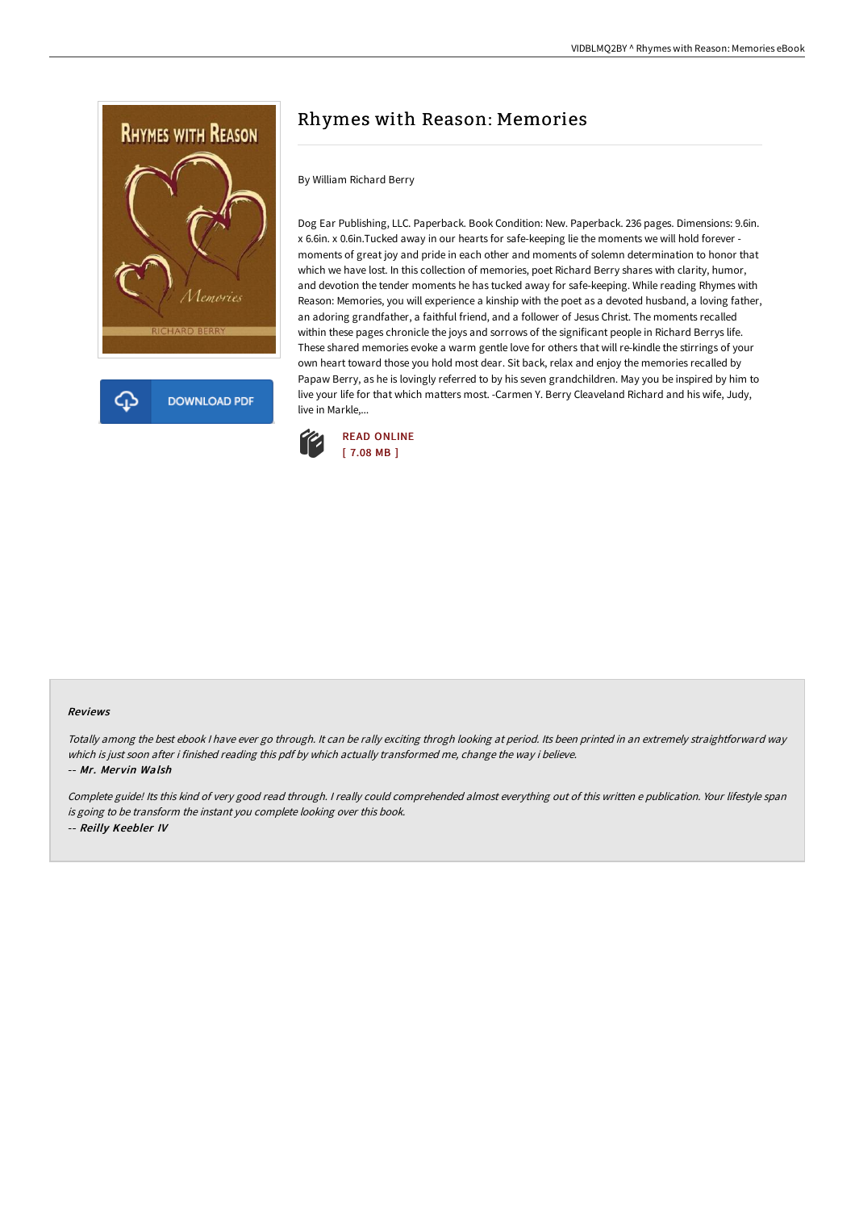

## Rhymes with Reason: Memories

## By William Richard Berry

Dog Ear Publishing, LLC. Paperback. Book Condition: New. Paperback. 236 pages. Dimensions: 9.6in. x 6.6in. x 0.6in.Tucked away in our hearts for safe-keeping lie the moments we will hold forever moments of great joy and pride in each other and moments of solemn determination to honor that which we have lost. In this collection of memories, poet Richard Berry shares with clarity, humor, and devotion the tender moments he has tucked away for safe-keeping. While reading Rhymes with Reason: Memories, you will experience a kinship with the poet as a devoted husband, a loving father, an adoring grandfather, a faithful friend, and a follower of Jesus Christ. The moments recalled within these pages chronicle the joys and sorrows of the significant people in Richard Berrys life. These shared memories evoke a warm gentle love for others that will re-kindle the stirrings of your own heart toward those you hold most dear. Sit back, relax and enjoy the memories recalled by Papaw Berry, as he is lovingly referred to by his seven grandchildren. May you be inspired by him to live your life for that which matters most. -Carmen Y. Berry Cleaveland Richard and his wife, Judy, live in Markle,...



## Reviews

Totally among the best ebook <sup>I</sup> have ever go through. It can be rally exciting throgh looking at period. Its been printed in an extremely straightforward way which is just soon after i finished reading this pdf by which actually transformed me, change the way i believe. -- Mr. Mervin Walsh

Complete guide! Its this kind of very good read through. <sup>I</sup> really could comprehended almost everything out of this written <sup>e</sup> publication. Your lifestyle span is going to be transform the instant you complete looking over this book. -- Reilly Keebler IV